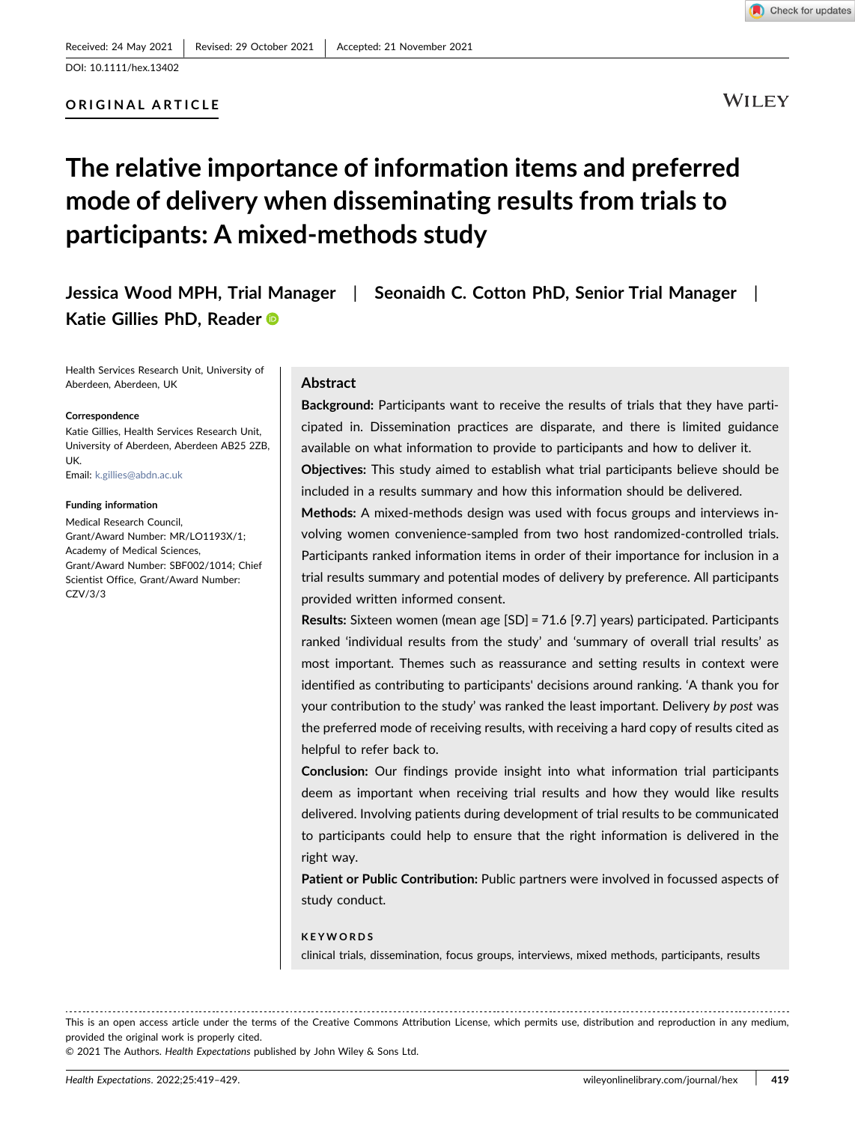## ORIGINAL ARTICLE

**WILEY** 

# The relative importance of information items and preferred mode of delivery when disseminating results from trials to participants: A mixed‐methods study

Jessica Wood MPH, Trial Manager | Seonaidh C. Cotton PhD, Senior Trial Manager | Katie Gillies PhD, Reade[r](http://orcid.org/0000-0001-7890-2854)

Health Services Research Unit, University of Aberdeen, Aberdeen, UK

#### **Correspondence**

Katie Gillies, Health Services Research Unit, University of Aberdeen, Aberdeen AB25 2ZB, UK.

Email: [k.gillies@abdn.ac.uk](mailto:k.gillies@abdn.ac.uk)

#### Funding information

Medical Research Council, Grant/Award Number: MR/LO1193X/1; Academy of Medical Sciences, Grant/Award Number: SBF002/1014; Chief Scientist Office, Grant/Award Number: CZV/3/3

## Abstract

Background: Participants want to receive the results of trials that they have participated in. Dissemination practices are disparate, and there is limited guidance available on what information to provide to participants and how to deliver it.

Objectives: This study aimed to establish what trial participants believe should be included in a results summary and how this information should be delivered.

Methods: A mixed‐methods design was used with focus groups and interviews involving women convenience‐sampled from two host randomized‐controlled trials. Participants ranked information items in order of their importance for inclusion in a trial results summary and potential modes of delivery by preference. All participants provided written informed consent.

Results: Sixteen women (mean age [SD] = 71.6 [9.7] years) participated. Participants ranked 'individual results from the study' and 'summary of overall trial results' as most important. Themes such as reassurance and setting results in context were identified as contributing to participants' decisions around ranking. 'A thank you for your contribution to the study' was ranked the least important. Delivery by post was the preferred mode of receiving results, with receiving a hard copy of results cited as helpful to refer back to.

Conclusion: Our findings provide insight into what information trial participants deem as important when receiving trial results and how they would like results delivered. Involving patients during development of trial results to be communicated to participants could help to ensure that the right information is delivered in the right way.

Patient or Public Contribution: Public partners were involved in focussed aspects of study conduct.

## **KEYWORDS**

clinical trials, dissemination, focus groups, interviews, mixed methods, participants, results

This is an open access article under the terms of the Creative Commons Attribution License, which permits use, distribution and reproduction in any medium, provided the original work is properly cited.

© 2021 The Authors. Health Expectations published by John Wiley & Sons Ltd.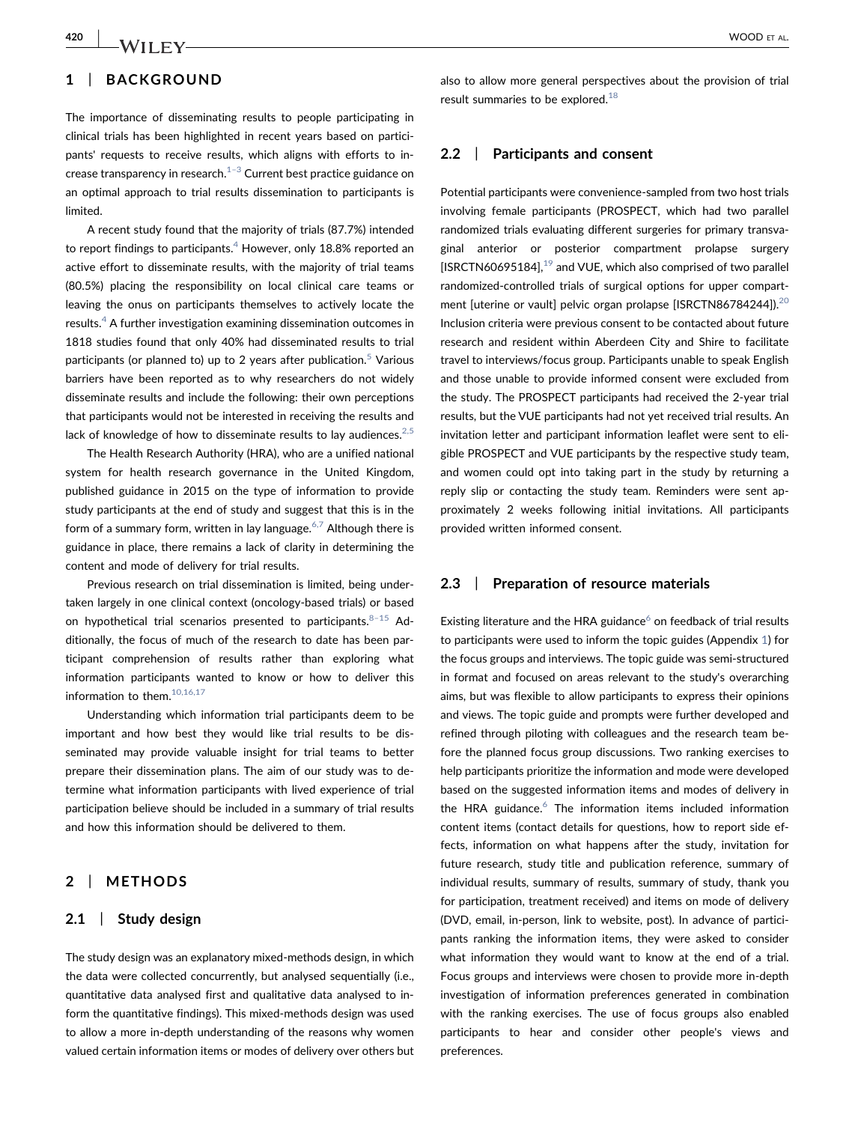# 1 | BACKGROUND

The importance of disseminating results to people participating in clinical trials has been highlighted in recent years based on participants' requests to receive results, which aligns with efforts to increase transparency in research. $1-3$  $1-3$  Current best practice guidance on an optimal approach to trial results dissemination to participants is limited.

A recent study found that the majority of trials (87.7%) intended to report findings to participants.<sup>[4](#page-8-0)</sup> However, only 18.8% reported an active effort to disseminate results, with the majority of trial teams (80.5%) placing the responsibility on local clinical care teams or leaving the onus on participants themselves to actively locate the results.<sup>[4](#page-8-0)</sup> A further investigation examining dissemination outcomes in 1818 studies found that only 40% had disseminated results to trial participants (or planned to) up to 2 years after publication.<sup>[5](#page-8-1)</sup> Various barriers have been reported as to why researchers do not widely disseminate results and include the following: their own perceptions that participants would not be interested in receiving the results and lack of knowledge of how to disseminate results to lay audiences.<sup>2,5</sup>

The Health Research Authority (HRA), who are a unified national system for health research governance in the United Kingdom, published guidance in 2015 on the type of information to provide study participants at the end of study and suggest that this is in the form of a summary form, written in lay language. $6,7$  Although there is guidance in place, there remains a lack of clarity in determining the content and mode of delivery for trial results.

Previous research on trial dissemination is limited, being undertaken largely in one clinical context (oncology‐based trials) or based on hypothetical trial scenarios presented to participants.  $8-15$  $8-15$  Additionally, the focus of much of the research to date has been participant comprehension of results rather than exploring what information participants wanted to know or how to deliver this information to them[.10,16,17](#page-8-4)

Understanding which information trial participants deem to be important and how best they would like trial results to be disseminated may provide valuable insight for trial teams to better prepare their dissemination plans. The aim of our study was to determine what information participants with lived experience of trial participation believe should be included in a summary of trial results and how this information should be delivered to them.

## 2 | METHODS

## 2.1 | Study design

The study design was an explanatory mixed‐methods design, in which the data were collected concurrently, but analysed sequentially (i.e., quantitative data analysed first and qualitative data analysed to inform the quantitative findings). This mixed‐methods design was used to allow a more in‐depth understanding of the reasons why women valued certain information items or modes of delivery over others but also to allow more general perspectives about the provision of trial result summaries to be explored. $18$ 

## 2.2 | Participants and consent

Potential participants were convenience‐sampled from two host trials involving female participants (PROSPECT, which had two parallel randomized trials evaluating different surgeries for primary transvaginal anterior or posterior compartment prolapse surgery [ISRCTN60695184], $^{19}$  and VUE, which also comprised of two parallel randomized‐controlled trials of surgical options for upper compart-ment [uterine or vault] pelvic organ prolapse [ISRCTN86784244]).<sup>[20](#page-8-7)</sup> Inclusion criteria were previous consent to be contacted about future research and resident within Aberdeen City and Shire to facilitate travel to interviews/focus group. Participants unable to speak English and those unable to provide informed consent were excluded from the study. The PROSPECT participants had received the 2‐year trial results, but the VUE participants had not yet received trial results. An invitation letter and participant information leaflet were sent to eligible PROSPECT and VUE participants by the respective study team, and women could opt into taking part in the study by returning a reply slip or contacting the study team. Reminders were sent approximately 2 weeks following initial invitations. All participants provided written informed consent.

## 2.3 | Preparation of resource materials

Existing literature and the HRA guidance $6$  on feedback of trial results to participants were used to inform the topic guides (Appendix [1](#page-9-0)) for the focus groups and interviews. The topic guide was semi‐structured in format and focused on areas relevant to the study's overarching aims, but was flexible to allow participants to express their opinions and views. The topic guide and prompts were further developed and refined through piloting with colleagues and the research team before the planned focus group discussions. Two ranking exercises to help participants prioritize the information and mode were developed based on the suggested information items and modes of delivery in the HRA guidance. $6$  The information items included information content items (contact details for questions, how to report side effects, information on what happens after the study, invitation for future research, study title and publication reference, summary of individual results, summary of results, summary of study, thank you for participation, treatment received) and items on mode of delivery (DVD, email, in‐person, link to website, post). In advance of participants ranking the information items, they were asked to consider what information they would want to know at the end of a trial. Focus groups and interviews were chosen to provide more in‐depth investigation of information preferences generated in combination with the ranking exercises. The use of focus groups also enabled participants to hear and consider other people's views and preferences.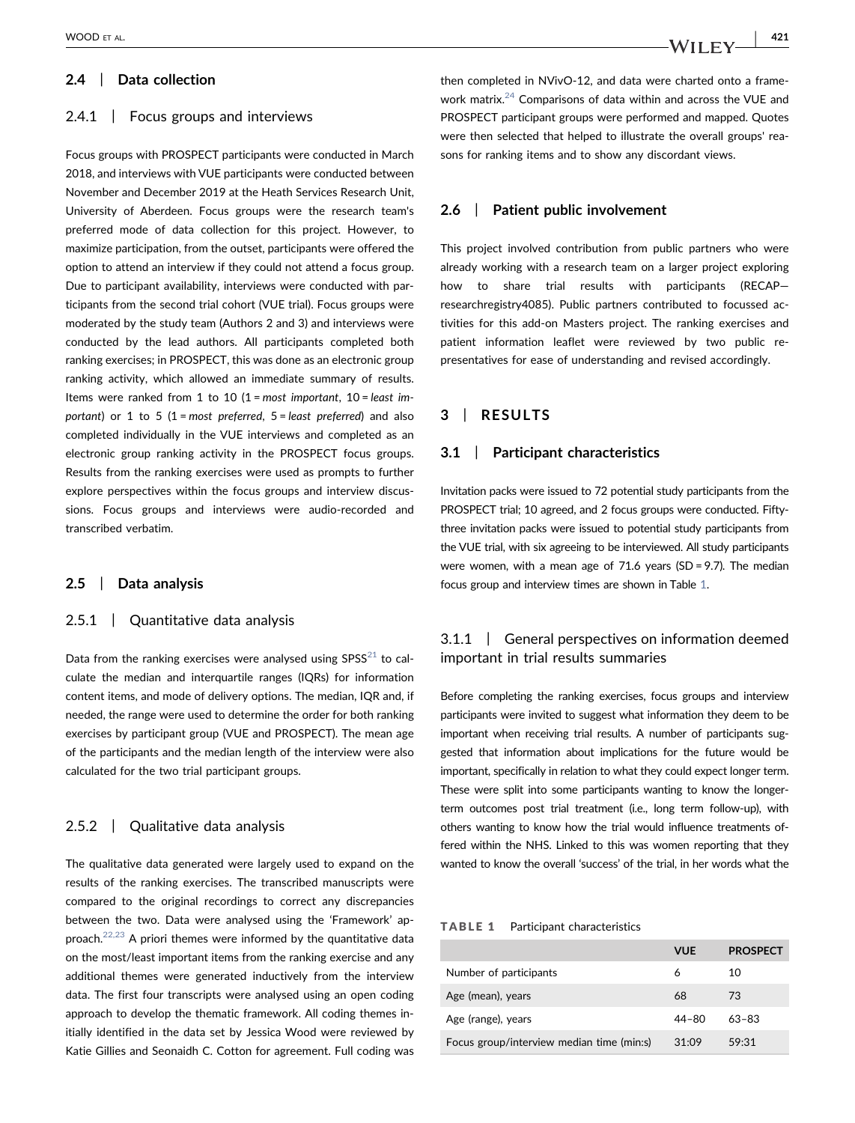# 2.4 | Data collection

## 2.4.1 Focus groups and interviews

Focus groups with PROSPECT participants were conducted in March 2018, and interviews with VUE participants were conducted between November and December 2019 at the Heath Services Research Unit, University of Aberdeen. Focus groups were the research team's preferred mode of data collection for this project. However, to maximize participation, from the outset, participants were offered the option to attend an interview if they could not attend a focus group. Due to participant availability, interviews were conducted with participants from the second trial cohort (VUE trial). Focus groups were moderated by the study team (Authors 2 and 3) and interviews were conducted by the lead authors. All participants completed both ranking exercises; in PROSPECT, this was done as an electronic group ranking activity, which allowed an immediate summary of results. Items were ranked from 1 to 10  $(1 = most important, 10 = least im$ portant) or 1 to 5 (1 = most preferred,  $5$  = least preferred) and also completed individually in the VUE interviews and completed as an electronic group ranking activity in the PROSPECT focus groups. Results from the ranking exercises were used as prompts to further explore perspectives within the focus groups and interview discussions. Focus groups and interviews were audio‐recorded and transcribed verbatim.

# 2.5 | Data analysis

## 2.5.1 | Quantitative data analysis

Data from the ranking exercises were analysed using  $SPSS^{21}$  $SPSS^{21}$  $SPSS^{21}$  to calculate the median and interquartile ranges (IQRs) for information content items, and mode of delivery options. The median, IQR and, if needed, the range were used to determine the order for both ranking exercises by participant group (VUE and PROSPECT). The mean age of the participants and the median length of the interview were also calculated for the two trial participant groups.

# 2.5.2 | Qualitative data analysis

The qualitative data generated were largely used to expand on the results of the ranking exercises. The transcribed manuscripts were compared to the original recordings to correct any discrepancies between the two. Data were analysed using the 'Framework' approach. $22,23$  A priori themes were informed by the quantitative data on the most/least important items from the ranking exercise and any additional themes were generated inductively from the interview data. The first four transcripts were analysed using an open coding approach to develop the thematic framework. All coding themes initially identified in the data set by Jessica Wood were reviewed by Katie Gillies and Seonaidh C. Cotton for agreement. Full coding was

then completed in NVivO‐12, and data were charted onto a framework matrix.[24](#page-8-10) Comparisons of data within and across the VUE and PROSPECT participant groups were performed and mapped. Quotes were then selected that helped to illustrate the overall groups' reasons for ranking items and to show any discordant views.

## 2.6 | Patient public involvement

This project involved contribution from public partners who were already working with a research team on a larger project exploring how to share trial results with participants (RECAP researchregistry4085). Public partners contributed to focussed activities for this add‐on Masters project. The ranking exercises and patient information leaflet were reviewed by two public representatives for ease of understanding and revised accordingly.

## 3 | RESULTS

## 3.1 | Participant characteristics

Invitation packs were issued to 72 potential study participants from the PROSPECT trial; 10 agreed, and 2 focus groups were conducted. Fiftythree invitation packs were issued to potential study participants from the VUE trial, with six agreeing to be interviewed. All study participants were women, with a mean age of 71.6 years (SD = 9.7). The median focus group and interview times are shown in Table [1](#page-2-0).

# 3.1.1 | General perspectives on information deemed important in trial results summaries

Before completing the ranking exercises, focus groups and interview participants were invited to suggest what information they deem to be important when receiving trial results. A number of participants suggested that information about implications for the future would be important, specifically in relation to what they could expect longer term. These were split into some participants wanting to know the longer‐ term outcomes post trial treatment (i.e., long term follow‐up), with others wanting to know how the trial would influence treatments offered within the NHS. Linked to this was women reporting that they wanted to know the overall 'success' of the trial, in her words what the

#### <span id="page-2-0"></span>TABLE 1 Participant characteristics

|                                           | <b>VUE</b> | <b>PROSPECT</b> |
|-------------------------------------------|------------|-----------------|
| Number of participants                    | 6          | 10              |
| Age (mean), years                         | 68         | 73              |
| Age (range), years                        | 44-80      | $63 - 83$       |
| Focus group/interview median time (min:s) | 31:09      | 59:31           |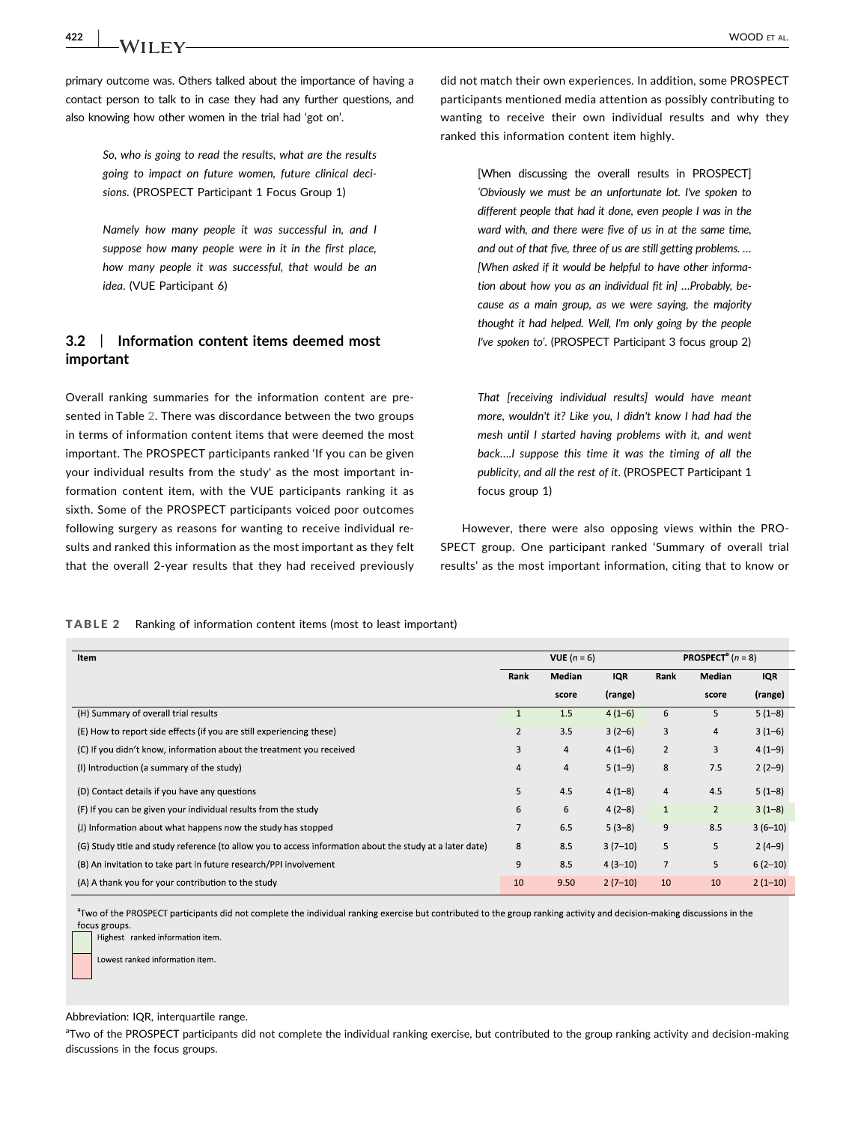primary outcome was. Others talked about the importance of having a contact person to talk to in case they had any further questions, and also knowing how other women in the trial had 'got on'.

> So, who is going to read the results, what are the results going to impact on future women, future clinical decisions. (PROSPECT Participant 1 Focus Group 1)

> Namely how many people it was successful in, and I suppose how many people were in it in the first place, how many people it was successful, that would be an idea. (VUE Participant 6)

# 3.2 | Information content items deemed most important

Overall ranking summaries for the information content are presented in Table [2.](#page-3-0) There was discordance between the two groups in terms of information content items that were deemed the most important. The PROSPECT participants ranked 'If you can be given your individual results from the study' as the most important information content item, with the VUE participants ranking it as sixth. Some of the PROSPECT participants voiced poor outcomes following surgery as reasons for wanting to receive individual results and ranked this information as the most important as they felt that the overall 2‐year results that they had received previously

did not match their own experiences. In addition, some PROSPECT participants mentioned media attention as possibly contributing to wanting to receive their own individual results and why they ranked this information content item highly.

> [When discussing the overall results in PROSPECT] 'Obviously we must be an unfortunate lot. I've spoken to different people that had it done, even people I was in the ward with, and there were five of us in at the same time, and out of that five, three of us are still getting problems. … [When asked if it would be helpful to have other information about how you as an individual fit in] …Probably, because as a main group, as we were saying, the majority thought it had helped. Well, I'm only going by the people I've spoken to'. (PROSPECT Participant 3 focus group 2)

> That [receiving individual results] would have meant more, wouldn't it? Like you, I didn't know I had had the mesh until I started having problems with it, and went back….I suppose this time it was the timing of all the publicity, and all the rest of it. (PROSPECT Participant 1 focus group 1)

However, there were also opposing views within the PRO-SPECT group. One participant ranked 'Summary of overall trial results' as the most important information, citing that to know or

<span id="page-3-0"></span>

| <b>TABLE 2</b> |  |  |  |  | Ranking of information content items (most to least important) |
|----------------|--|--|--|--|----------------------------------------------------------------|
|----------------|--|--|--|--|----------------------------------------------------------------|

| Item                                                                                                     | VUE $(n = 6)$  |                |            | <b>PROSPECT</b> <sup>a</sup> $(n = 8)$ |                |            |
|----------------------------------------------------------------------------------------------------------|----------------|----------------|------------|----------------------------------------|----------------|------------|
|                                                                                                          | Rank           | Median         | <b>IQR</b> | Rank                                   | Median         | <b>IQR</b> |
|                                                                                                          |                | score          | (range)    |                                        | score          | (range)    |
| (H) Summary of overall trial results                                                                     |                | 1.5            | $4(1-6)$   | 6                                      | 5              | $5(1-8)$   |
| (E) How to report side effects (if you are still experiencing these)                                     | $\overline{2}$ | 3.5            | $3(2-6)$   | 3                                      | 4              | $3(1-6)$   |
| (C) If you didn't know, information about the treatment you received                                     | 3              | $\overline{4}$ | $4(1-6)$   | $\overline{2}$                         | 3              | $4(1-9)$   |
| (I) Introduction (a summary of the study)                                                                | 4              | 4              | $5(1-9)$   | 8                                      | 7.5            | $2(2-9)$   |
| (D) Contact details if you have any questions                                                            | 5              | 4.5            | $4(1-8)$   | $\overline{a}$                         | 4.5            | $5(1-8)$   |
| (F) If you can be given your individual results from the study                                           | 6              | 6              | $4(2-8)$   | $1\,$                                  | $\overline{2}$ | $3(1-8)$   |
| (J) Information about what happens now the study has stopped                                             | 7              | 6.5            | $5(3-8)$   | 9                                      | 8.5            | $3(6-10)$  |
| (G) Study title and study reference (to allow you to access information about the study at a later date) | 8              | 8.5            | $3(7-10)$  | 5                                      | 5              | $2(4-9)$   |
| (B) An invitation to take part in future research/PPI involvement                                        | 9              | 8.5            | $4(3-10)$  | $\overline{7}$                         | 5              | $6(2-10)$  |
| (A) A thank you for your contribution to the study                                                       | 10             | 9.50           | $2(7-10)$  | 10                                     | 10             | $2(1-10)$  |

<sup>a</sup>Two of the PROSPECT participants did not complete the individual ranking exercise but contributed to the group ranking activity and decision-making discussions in the focus groups.

Highest ranked information item.

Lowest ranked information item

Abbreviation: IQR, interquartile range.

aTwo of the PROSPECT participants did not complete the individual ranking exercise, but contributed to the group ranking activity and decision‐making discussions in the focus groups.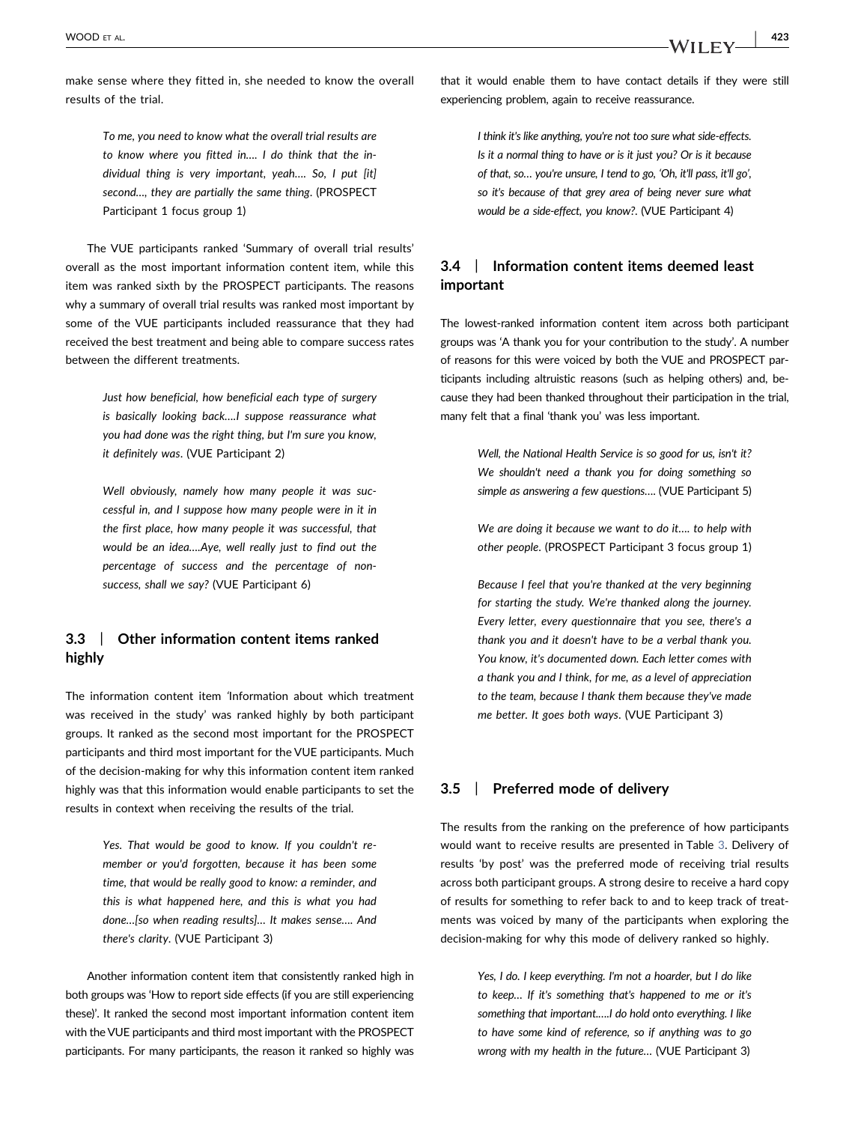make sense where they fitted in, she needed to know the overall results of the trial.

> To me, you need to know what the overall trial results are to know where you fitted in…. I do think that the individual thing is very important, yeah…. So, I put [it] second…, they are partially the same thing. (PROSPECT Participant 1 focus group 1)

The VUE participants ranked 'Summary of overall trial results' overall as the most important information content item, while this item was ranked sixth by the PROSPECT participants. The reasons why a summary of overall trial results was ranked most important by some of the VUE participants included reassurance that they had received the best treatment and being able to compare success rates between the different treatments.

> Just how beneficial, how beneficial each type of surgery is basically looking back….I suppose reassurance what you had done was the right thing, but I'm sure you know, it definitely was. (VUE Participant 2)

> Well obviously, namely how many people it was successful in, and I suppose how many people were in it in the first place, how many people it was successful, that would be an idea….Aye, well really just to find out the percentage of success and the percentage of nonsuccess, shall we say? (VUE Participant 6)

# 3.3 | Other information content items ranked highly

The information content item 'Information about which treatment was received in the study' was ranked highly by both participant groups. It ranked as the second most important for the PROSPECT participants and third most important for the VUE participants. Much of the decision‐making for why this information content item ranked highly was that this information would enable participants to set the results in context when receiving the results of the trial.

> Yes. That would be good to know. If you couldn't remember or you'd forgotten, because it has been some time, that would be really good to know: a reminder, and this is what happened here, and this is what you had done…[so when reading results]… It makes sense…. And there's clarity. (VUE Participant 3)

Another information content item that consistently ranked high in both groups was 'How to report side effects (if you are still experiencing these)'. It ranked the second most important information content item with the VUE participants and third most important with the PROSPECT participants. For many participants, the reason it ranked so highly was that it would enable them to have contact details if they were still experiencing problem, again to receive reassurance.

> I think it's like anything, you're not too sure what side‐effects. Is it a normal thing to have or is it just you? Or is it because of that, so… you're unsure, I tend to go, 'Oh, it'll pass, it'll go', so it's because of that grey area of being never sure what would be a side‐effect, you know?. (VUE Participant 4)

# 3.4 | Information content items deemed least important

The lowest-ranked information content item across both participant groups was 'A thank you for your contribution to the study'. A number of reasons for this were voiced by both the VUE and PROSPECT participants including altruistic reasons (such as helping others) and, because they had been thanked throughout their participation in the trial, many felt that a final 'thank you' was less important.

> Well, the National Health Service is so good for us, isn't it? We shouldn't need a thank you for doing something so simple as answering a few questions…. (VUE Participant 5)

> We are doing it because we want to do it…. to help with other people. (PROSPECT Participant 3 focus group 1)

> Because I feel that you're thanked at the very beginning for starting the study. We're thanked along the journey. Every letter, every questionnaire that you see, there's a thank you and it doesn't have to be a verbal thank you. You know, it's documented down. Each letter comes with a thank you and I think, for me, as a level of appreciation to the team, because I thank them because they've made me better. It goes both ways. (VUE Participant 3)

## 3.5 | Preferred mode of delivery

The results from the ranking on the preference of how participants would want to receive results are presented in Table [3.](#page-5-0) Delivery of results 'by post' was the preferred mode of receiving trial results across both participant groups. A strong desire to receive a hard copy of results for something to refer back to and to keep track of treatments was voiced by many of the participants when exploring the decision‐making for why this mode of delivery ranked so highly.

> Yes, I do. I keep everything. I'm not a hoarder, but I do like to keep… If it's something that's happened to me or it's something that important.….I do hold onto everything. I like to have some kind of reference, so if anything was to go wrong with my health in the future… (VUE Participant 3)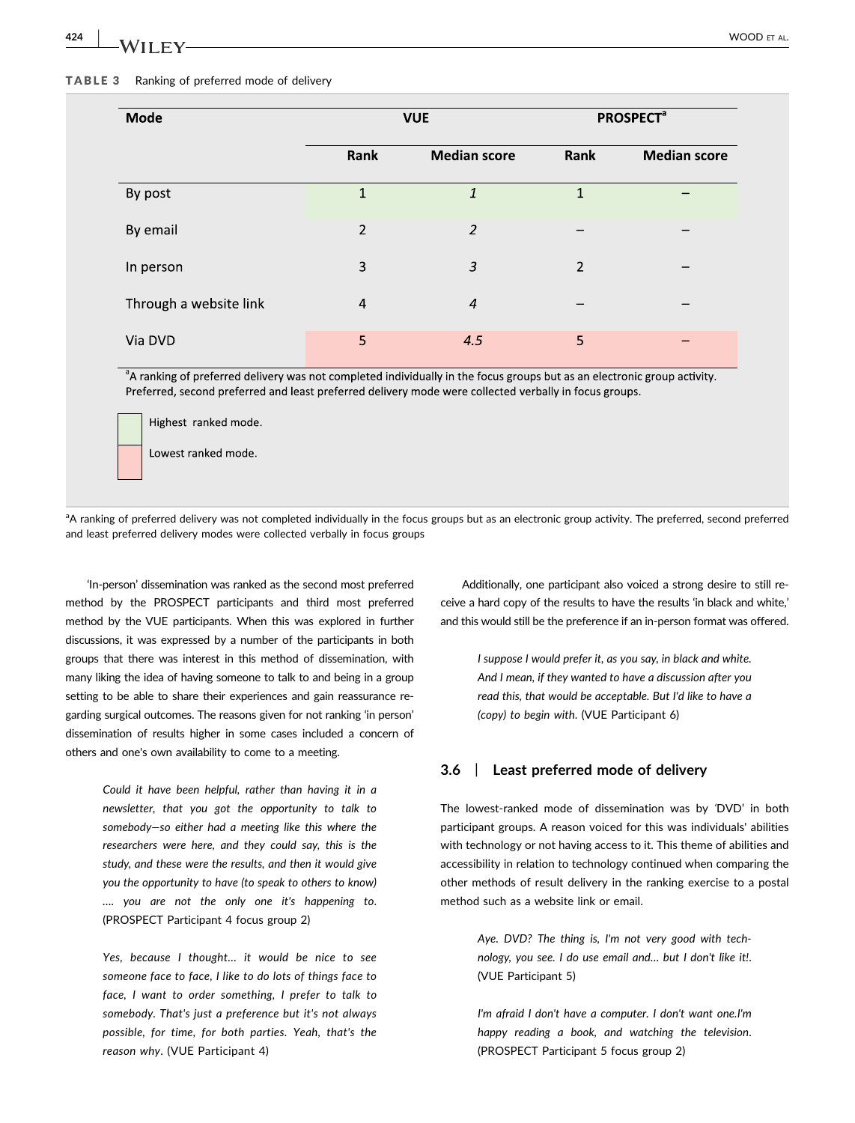424 | **WOOD ET AL.** WOOD ET AL.

### <span id="page-5-0"></span>TABLE 3 Ranking of preferred mode of delivery

| Mode                   | <b>VUE</b>     |                     | <b>PROSPECT<sup>ª</sup></b> |                     |  |
|------------------------|----------------|---------------------|-----------------------------|---------------------|--|
|                        | Rank           | <b>Median score</b> | Rank                        | <b>Median score</b> |  |
| By post                | $\mathbf{1}$   | 1                   | $\mathbf{1}$                |                     |  |
| By email               | $\overline{2}$ | $\overline{2}$      |                             |                     |  |
| In person              | 3              | 3                   | 2                           |                     |  |
| Through a website link | $\overline{4}$ | $\overline{4}$      |                             |                     |  |
| Via DVD                | 5              | 4.5                 | 5                           |                     |  |

<sup>a</sup>A ranking of preferred delivery was not completed individually in the focus groups but as an electronic group activity. Preferred, second preferred and least preferred delivery mode were collected verbally in focus groups.

Highest ranked mode.

Lowest ranked mode.

<sup>a</sup>A ranking of preferred delivery was not completed individually in the focus groups but as an electronic group activity. The preferred, second preferred and least preferred delivery modes were collected verbally in focus groups

'In‐person' dissemination was ranked as the second most preferred method by the PROSPECT participants and third most preferred method by the VUE participants. When this was explored in further discussions, it was expressed by a number of the participants in both groups that there was interest in this method of dissemination, with many liking the idea of having someone to talk to and being in a group setting to be able to share their experiences and gain reassurance regarding surgical outcomes. The reasons given for not ranking 'in person' dissemination of results higher in some cases included a concern of others and one's own availability to come to a meeting.

> Could it have been helpful, rather than having it in a newsletter, that you got the opportunity to talk to somebody—so either had a meeting like this where the researchers were here, and they could say, this is the study, and these were the results, and then it would give you the opportunity to have (to speak to others to know) …. you are not the only one it's happening to. (PROSPECT Participant 4 focus group 2)

> Yes, because I thought… it would be nice to see someone face to face, I like to do lots of things face to face, I want to order something, I prefer to talk to somebody. That's just a preference but it's not always possible, for time, for both parties. Yeah, that's the reason why. (VUE Participant 4)

Additionally, one participant also voiced a strong desire to still receive a hard copy of the results to have the results 'in black and white,' and this would still be the preference if an in‐person format was offered.

> I suppose I would prefer it, as you say, in black and white. And I mean, if they wanted to have a discussion after you read this, that would be acceptable. But I'd like to have a (copy) to begin with. (VUE Participant 6)

## 3.6 | Least preferred mode of delivery

The lowest-ranked mode of dissemination was by 'DVD' in both participant groups. A reason voiced for this was individuals' abilities with technology or not having access to it. This theme of abilities and accessibility in relation to technology continued when comparing the other methods of result delivery in the ranking exercise to a postal method such as a website link or email.

> Aye. DVD? The thing is, I'm not very good with technology, you see. I do use email and… but I don't like it!. (VUE Participant 5)

> I'm afraid I don't have a computer. I don't want one.I'm happy reading a book, and watching the television. (PROSPECT Participant 5 focus group 2)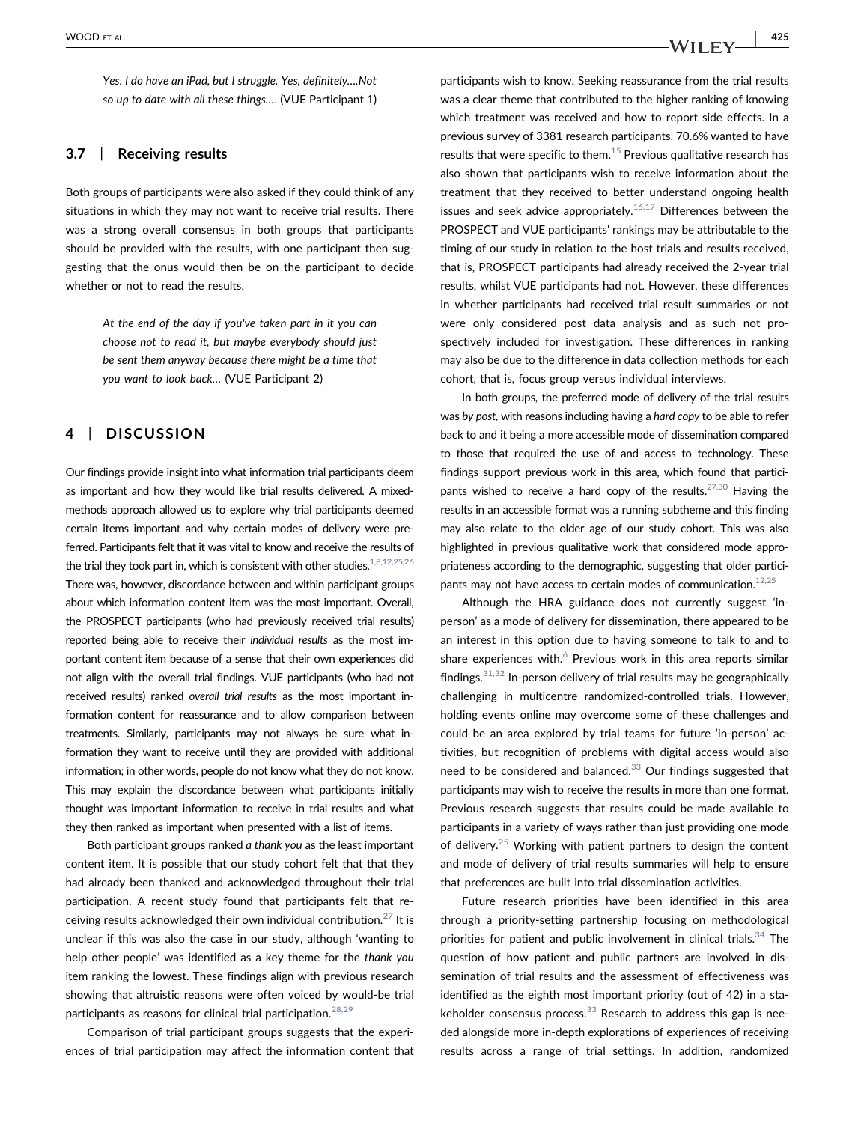Yes. I do have an iPad, but I struggle. Yes, definitely….Not so up to date with all these things…. (VUE Participant 1)

## 3.7 | Receiving results

Both groups of participants were also asked if they could think of any situations in which they may not want to receive trial results. There was a strong overall consensus in both groups that participants should be provided with the results, with one participant then suggesting that the onus would then be on the participant to decide whether or not to read the results.

> At the end of the day if you've taken part in it you can choose not to read it, but maybe everybody should just be sent them anyway because there might be a time that you want to look back… (VUE Participant 2)

## 4 | DISCUSSION

Our findings provide insight into what information trial participants deem as important and how they would like trial results delivered. A mixedmethods approach allowed us to explore why trial participants deemed certain items important and why certain modes of delivery were preferred. Participants felt that it was vital to know and receive the results of the trial they took part in, which is consistent with other studies.  $1,8,12,25,26$ There was, however, discordance between and within participant groups about which information content item was the most important. Overall, the PROSPECT participants (who had previously received trial results) reported being able to receive their individual results as the most important content item because of a sense that their own experiences did not align with the overall trial findings. VUE participants (who had not received results) ranked overall trial results as the most important information content for reassurance and to allow comparison between treatments. Similarly, participants may not always be sure what information they want to receive until they are provided with additional information; in other words, people do not know what they do not know. This may explain the discordance between what participants initially thought was important information to receive in trial results and what they then ranked as important when presented with a list of items.

Both participant groups ranked a thank you as the least important content item. It is possible that our study cohort felt that that they had already been thanked and acknowledged throughout their trial participation. A recent study found that participants felt that receiving results acknowledged their own individual contribution. $27$  It is unclear if this was also the case in our study, although 'wanting to help other people' was identified as a key theme for the thank you item ranking the lowest. These findings align with previous research showing that altruistic reasons were often voiced by would‐be trial participants as reasons for clinical trial participation.<sup>[28,29](#page-8-12)</sup>

Comparison of trial participant groups suggests that the experiences of trial participation may affect the information content that

participants wish to know. Seeking reassurance from the trial results was a clear theme that contributed to the higher ranking of knowing which treatment was received and how to report side effects. In a previous survey of 3381 research participants, 70.6% wanted to have results that were specific to them. $15$  Previous qualitative research has also shown that participants wish to receive information about the treatment that they received to better understand ongoing health issues and seek advice appropriately.<sup>16,17</sup> Differences between the PROSPECT and VUE participants' rankings may be attributable to the timing of our study in relation to the host trials and results received, that is, PROSPECT participants had already received the 2‐year trial results, whilst VUE participants had not. However, these differences in whether participants had received trial result summaries or not were only considered post data analysis and as such not prospectively included for investigation. These differences in ranking may also be due to the difference in data collection methods for each cohort, that is, focus group versus individual interviews.

In both groups, the preferred mode of delivery of the trial results was by post, with reasons including having a hard copy to be able to refer back to and it being a more accessible mode of dissemination compared to those that required the use of and access to technology. These findings support previous work in this area, which found that participants wished to receive a hard copy of the results.<sup>27,30</sup> Having the results in an accessible format was a running subtheme and this finding may also relate to the older age of our study cohort. This was also highlighted in previous qualitative work that considered mode appropriateness according to the demographic, suggesting that older participants may not have access to certain modes of communication.<sup>12,25</sup>

Although the HRA guidance does not currently suggest 'in‐ person' as a mode of delivery for dissemination, there appeared to be an interest in this option due to having someone to talk to and to share experiences with. $<sup>6</sup>$  $<sup>6</sup>$  $<sup>6</sup>$  Previous work in this area reports similar</sup> findings. $31,32$  In-person delivery of trial results may be geographically challenging in multicentre randomized‐controlled trials. However, holding events online may overcome some of these challenges and could be an area explored by trial teams for future 'in‐person' activities, but recognition of problems with digital access would also need to be considered and balanced.<sup>[33](#page-8-17)</sup> Our findings suggested that participants may wish to receive the results in more than one format. Previous research suggests that results could be made available to participants in a variety of ways rather than just providing one mode of delivery.<sup>[25](#page-8-18)</sup> Working with patient partners to design the content and mode of delivery of trial results summaries will help to ensure that preferences are built into trial dissemination activities.

Future research priorities have been identified in this area through a priority‐setting partnership focusing on methodological priorities for patient and public involvement in clinical trials. $34$  The question of how patient and public partners are involved in dissemination of trial results and the assessment of effectiveness was identified as the eighth most important priority (out of 42) in a stakeholder consensus process. $33$  Research to address this gap is needed alongside more in‐depth explorations of experiences of receiving results across a range of trial settings. In addition, randomized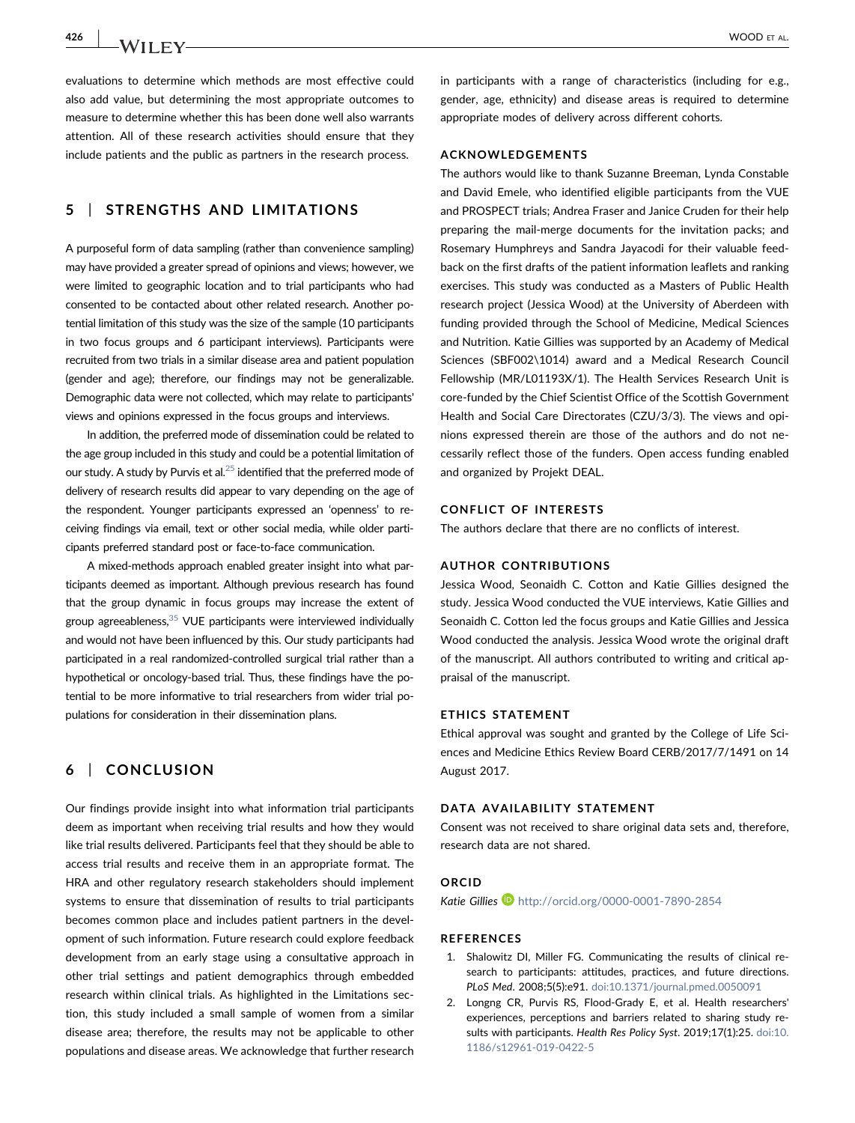426 | **WOOD ET AL.** WOOD ET AL.

evaluations to determine which methods are most effective could also add value, but determining the most appropriate outcomes to measure to determine whether this has been done well also warrants attention. All of these research activities should ensure that they include patients and the public as partners in the research process.

# 5 | STRENGTHS AND LIMITATIONS

A purposeful form of data sampling (rather than convenience sampling) may have provided a greater spread of opinions and views; however, we were limited to geographic location and to trial participants who had consented to be contacted about other related research. Another potential limitation of this study was the size of the sample (10 participants in two focus groups and 6 participant interviews). Participants were recruited from two trials in a similar disease area and patient population (gender and age); therefore, our findings may not be generalizable. Demographic data were not collected, which may relate to participants' views and opinions expressed in the focus groups and interviews.

In addition, the preferred mode of dissemination could be related to the age group included in this study and could be a potential limitation of our study. A study by Purvis et al. $^{25}$  identified that the preferred mode of delivery of research results did appear to vary depending on the age of the respondent. Younger participants expressed an 'openness' to receiving findings via email, text or other social media, while older participants preferred standard post or face‐to‐face communication.

A mixed‐methods approach enabled greater insight into what participants deemed as important. Although previous research has found that the group dynamic in focus groups may increase the extent of group agreeableness,  $35$  VUE participants were interviewed individually and would not have been influenced by this. Our study participants had participated in a real randomized‐controlled surgical trial rather than a hypothetical or oncology-based trial. Thus, these findings have the potential to be more informative to trial researchers from wider trial populations for consideration in their dissemination plans.

# 6 | CONCLUSION

Our findings provide insight into what information trial participants deem as important when receiving trial results and how they would like trial results delivered. Participants feel that they should be able to access trial results and receive them in an appropriate format. The HRA and other regulatory research stakeholders should implement systems to ensure that dissemination of results to trial participants becomes common place and includes patient partners in the development of such information. Future research could explore feedback development from an early stage using a consultative approach in other trial settings and patient demographics through embedded research within clinical trials. As highlighted in the Limitations section, this study included a small sample of women from a similar disease area; therefore, the results may not be applicable to other populations and disease areas. We acknowledge that further research

in participants with a range of characteristics (including for e.g., gender, age, ethnicity) and disease areas is required to determine appropriate modes of delivery across different cohorts.

### ACKNOWLEDGEMENTS

The authors would like to thank Suzanne Breeman, Lynda Constable and David Emele, who identified eligible participants from the VUE and PROSPECT trials; Andrea Fraser and Janice Cruden for their help preparing the mail-merge documents for the invitation packs; and Rosemary Humphreys and Sandra Jayacodi for their valuable feedback on the first drafts of the patient information leaflets and ranking exercises. This study was conducted as a Masters of Public Health research project (Jessica Wood) at the University of Aberdeen with funding provided through the School of Medicine, Medical Sciences and Nutrition. Katie Gillies was supported by an Academy of Medical Sciences (SBF002\1014) award and a Medical Research Council Fellowship (MR/L01193X/1). The Health Services Research Unit is core‐funded by the Chief Scientist Office of the Scottish Government Health and Social Care Directorates (CZU/3/3). The views and opinions expressed therein are those of the authors and do not necessarily reflect those of the funders. Open access funding enabled and organized by Projekt DEAL.

## CONFLICT OF INTERESTS

The authors declare that there are no conflicts of interest.

### AUTHOR CONTRIBUTIONS

Jessica Wood, Seonaidh C. Cotton and Katie Gillies designed the study. Jessica Wood conducted the VUE interviews, Katie Gillies and Seonaidh C. Cotton led the focus groups and Katie Gillies and Jessica Wood conducted the analysis. Jessica Wood wrote the original draft of the manuscript. All authors contributed to writing and critical appraisal of the manuscript.

#### ETHICS STATEMENT

Ethical approval was sought and granted by the College of Life Sciences and Medicine Ethics Review Board CERB/2017/7/1491 on 14 August 2017.

#### DATA AVAILABILITY STATEMENT

Consent was not received to share original data sets and, therefore, research data are not shared.

#### **ORCID**

Katie Gillies <http://orcid.org/0000-0001-7890-2854>

#### **REFERENCES**

- <span id="page-7-0"></span>1. Shalowitz DI, Miller FG. Communicating the results of clinical research to participants: attitudes, practices, and future directions. PLoS Med. 2008;5(5):e91. [doi:10.1371/journal.pmed.0050091](https://doi.org/10.1371/journal.pmed.0050091)
- <span id="page-7-1"></span>2. Longng CR, Purvis RS, Flood‐Grady E, et al. Health researchers' experiences, perceptions and barriers related to sharing study results with participants. Health Res Policy Syst. 2019;17(1):25. [doi:10.](https://doi.org/10.1186/s12961-019-0422-5) [1186/s12961-019-0422-5](https://doi.org/10.1186/s12961-019-0422-5)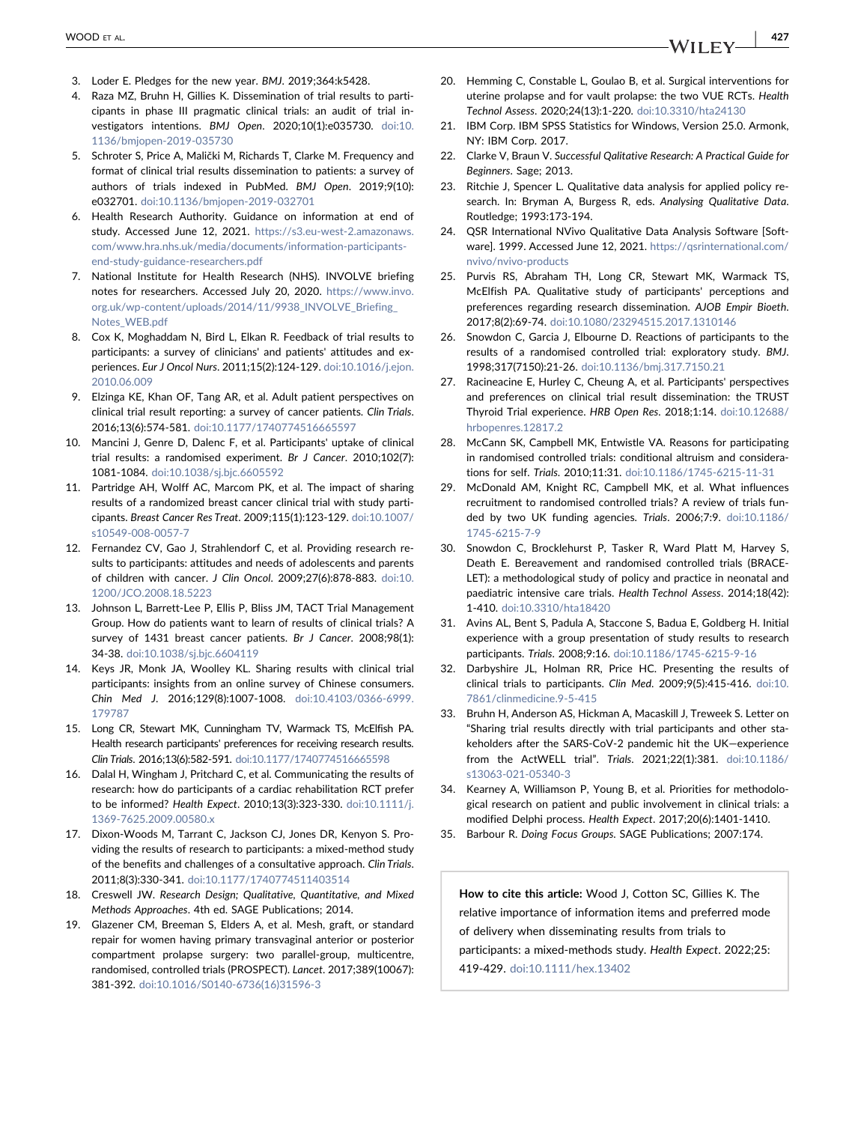- 3. Loder E. Pledges for the new year. BMJ. 2019;364:k5428.
- <span id="page-8-0"></span>4. Raza MZ, Bruhn H, Gillies K. Dissemination of trial results to participants in phase III pragmatic clinical trials: an audit of trial investigators intentions. BMJ Open. 2020;10(1):e035730. [doi:10.](https://doi.org/10.1136/bmjopen-2019-035730) [1136/bmjopen-2019-035730](https://doi.org/10.1136/bmjopen-2019-035730)
- <span id="page-8-1"></span>5. Schroter S, Price A, Malički M, Richards T, Clarke M. Frequency and format of clinical trial results dissemination to patients: a survey of authors of trials indexed in PubMed. BMJ Open. 2019;9(10): e032701. [doi:10.1136/bmjopen-2019-032701](https://doi.org/10.1136/bmjopen-2019-032701)
- <span id="page-8-2"></span>6. Health Research Authority. Guidance on information at end of study. Accessed June 12, 2021. [https://s3.eu-west-2.amazonaws.](https://s3.eu-west-2.amazonaws.com/www.hra.nhs.uk/media/documents/information-participants-end-study-guidance-researchers.pdf) [com/www.hra.nhs.uk/media/documents/information-participants](https://s3.eu-west-2.amazonaws.com/www.hra.nhs.uk/media/documents/information-participants-end-study-guidance-researchers.pdf)[end-study-guidance-researchers.pdf](https://s3.eu-west-2.amazonaws.com/www.hra.nhs.uk/media/documents/information-participants-end-study-guidance-researchers.pdf)
- 7. National Institute for Health Research (NHS). INVOLVE briefing notes for researchers. Accessed July 20, 2020. [https://www.invo.](https://www.invo.org.uk/wp-content/uploads/2014/11/9938_INVOLVE_Briefing_Notes_WEB.pdf) org.uk/wp-content/uploads/2014/11/9938\_INVOLVE\_Briefing [Notes\\_WEB.pdf](https://www.invo.org.uk/wp-content/uploads/2014/11/9938_INVOLVE_Briefing_Notes_WEB.pdf)
- <span id="page-8-3"></span>8. Cox K, Moghaddam N, Bird L, Elkan R. Feedback of trial results to participants: a survey of clinicians' and patients' attitudes and experiences. Eur J Oncol Nurs. 2011;15(2):124‐129. [doi:10.1016/j.ejon.](https://doi.org/10.1016/j.ejon.2010.06.009) [2010.06.009](https://doi.org/10.1016/j.ejon.2010.06.009)
- 9. Elzinga KE, Khan OF, Tang AR, et al. Adult patient perspectives on clinical trial result reporting: a survey of cancer patients. Clin Trials. 2016;13(6):574‐581. [doi:10.1177/1740774516665597](https://doi.org/10.1177/1740774516665597)
- <span id="page-8-4"></span>10. Mancini J, Genre D, Dalenc F, et al. Participants' uptake of clinical trial results: a randomised experiment. Br J Cancer. 2010;102(7): 1081‐1084. [doi:10.1038/sj.bjc.6605592](https://doi.org/10.1038/sj.bjc.6605592)
- 11. Partridge AH, Wolff AC, Marcom PK, et al. The impact of sharing results of a randomized breast cancer clinical trial with study participants. Breast Cancer Res Treat. 2009;115(1):123‐129. [doi:10.1007/](https://doi.org/10.1007/s10549-008-0057-7) [s10549-008-0057-7](https://doi.org/10.1007/s10549-008-0057-7)
- <span id="page-8-15"></span>12. Fernandez CV, Gao J, Strahlendorf C, et al. Providing research results to participants: attitudes and needs of adolescents and parents of children with cancer. J Clin Oncol. 2009;27(6):878‐883. [doi:10.](https://doi.org/10.1200/JCO.2008.18.5223) [1200/JCO.2008.18.5223](https://doi.org/10.1200/JCO.2008.18.5223)
- 13. Johnson L, Barrett-Lee P, Ellis P, Bliss JM, TACT Trial Management Group. How do patients want to learn of results of clinical trials? A survey of 1431 breast cancer patients. Br J Cancer. 2008;98(1): 34‐38. [doi:10.1038/sj.bjc.6604119](https://doi.org/10.1038/sj.bjc.6604119)
- 14. Keys JR, Monk JA, Woolley KL. Sharing results with clinical trial participants: insights from an online survey of Chinese consumers. Chin Med J. 2016;129(8):1007‐1008. [doi:10.4103/0366-6999.](https://doi.org/10.4103/0366-6999.179787) [179787](https://doi.org/10.4103/0366-6999.179787)
- <span id="page-8-13"></span>15. Long CR, Stewart MK, Cunningham TV, Warmack TS, McElfish PA. Health research participants' preferences for receiving research results. Clin Trials. 2016;13(6):582‐591. [doi:10.1177/1740774516665598](https://doi.org/10.1177/1740774516665598)
- <span id="page-8-14"></span>16. Dalal H, Wingham J, Pritchard C, et al. Communicating the results of research: how do participants of a cardiac rehabilitation RCT prefer to be informed? Health Expect. 2010;13(3):323‐330. [doi:10.1111/j.](https://doi.org/10.1111/j.1369-7625.2009.00580.x) [1369-7625.2009.00580.x](https://doi.org/10.1111/j.1369-7625.2009.00580.x)
- 17. Dixon‐Woods M, Tarrant C, Jackson CJ, Jones DR, Kenyon S. Providing the results of research to participants: a mixed‐method study of the benefits and challenges of a consultative approach. Clin Trials. 2011;8(3):330‐341. [doi:10.1177/1740774511403514](https://doi.org/10.1177/1740774511403514)
- <span id="page-8-5"></span>18. Creswell JW. Research Design; Qualitative, Quantitative, and Mixed Methods Approaches. 4th ed. SAGE Publications; 2014.
- <span id="page-8-6"></span>19. Glazener CM, Breeman S, Elders A, et al. Mesh, graft, or standard repair for women having primary transvaginal anterior or posterior compartment prolapse surgery: two parallel‐group, multicentre, randomised, controlled trials (PROSPECT). Lancet. 2017;389(10067): 381‐392. [doi:10.1016/S0140-6736\(16\)31596-3](https://doi.org/10.1016/S0140-6736(16)31596-3)
- <span id="page-8-7"></span>20. Hemming C, Constable L, Goulao B, et al. Surgical interventions for uterine prolapse and for vault prolapse: the two VUE RCTs. Health Technol Assess. 2020;24(13):1‐220. [doi:10.3310/hta24130](https://doi.org/10.3310/hta24130)
- <span id="page-8-8"></span>21. IBM Corp. IBM SPSS Statistics for Windows, Version 25.0. Armonk, NY: IBM Corp. 2017.
- <span id="page-8-9"></span>22. Clarke V, Braun V. Successful Qalitative Research: A Practical Guide for Beginners. Sage; 2013.
- 23. Ritchie J, Spencer L. Qualitative data analysis for applied policy research. In: Bryman A, Burgess R, eds. Analysing Qualitative Data. Routledge; 1993:173‐194.
- <span id="page-8-10"></span>24. QSR International NVivo Qualitative Data Analysis Software [Software]. 1999. Accessed June 12, 2021. [https://qsrinternational.com/](https://qsrinternational.com/nvivo/nvivo-products) [nvivo/nvivo-products](https://qsrinternational.com/nvivo/nvivo-products)
- <span id="page-8-18"></span>25. Purvis RS, Abraham TH, Long CR, Stewart MK, Warmack TS, McElfish PA. Qualitative study of participants' perceptions and preferences regarding research dissemination. AJOB Empir Bioeth. 2017;8(2):69‐74. [doi:10.1080/23294515.2017.1310146](https://doi.org/10.1080/23294515.2017.1310146)
- 26. Snowdon C, Garcia J, Elbourne D. Reactions of participants to the results of a randomised controlled trial: exploratory study. BMJ. 1998;317(7150):21‐26. [doi:10.1136/bmj.317.7150.21](https://doi.org/10.1136/bmj.317.7150.21)
- <span id="page-8-11"></span>27. Racineacine E, Hurley C, Cheung A, et al. Participants' perspectives and preferences on clinical trial result dissemination: the TRUST Thyroid Trial experience. HRB Open Res. 2018;1:14. [doi:10.12688/](https://doi.org/10.12688/hrbopenres.12817.2) [hrbopenres.12817.2](https://doi.org/10.12688/hrbopenres.12817.2)
- <span id="page-8-12"></span>28. McCann SK, Campbell MK, Entwistle VA. Reasons for participating in randomised controlled trials: conditional altruism and considerations for self. Trials. 2010;11:31. [doi:10.1186/1745-6215-11-31](https://doi.org/10.1186/1745-6215-11-31)
- 29. McDonald AM, Knight RC, Campbell MK, et al. What influences recruitment to randomised controlled trials? A review of trials funded by two UK funding agencies. Trials. 2006;7:9. [doi:10.1186/](https://doi.org/10.1186/1745-6215-7-9) [1745-6215-7-9](https://doi.org/10.1186/1745-6215-7-9)
- 30. Snowdon C, Brocklehurst P, Tasker R, Ward Platt M, Harvey S, Death E. Bereavement and randomised controlled trials (BRACE-LET): a methodological study of policy and practice in neonatal and paediatric intensive care trials. Health Technol Assess. 2014;18(42): 1‐410. [doi:10.3310/hta18420](https://doi.org/10.3310/hta18420)
- <span id="page-8-16"></span>31. Avins AL, Bent S, Padula A, Staccone S, Badua E, Goldberg H. Initial experience with a group presentation of study results to research participants. Trials. 2008;9:16. [doi:10.1186/1745-6215-9-16](https://doi.org/10.1186/1745-6215-9-16)
- 32. Darbyshire JL, Holman RR, Price HC. Presenting the results of clinical trials to participants. Clin Med. 2009;9(5):415‐416. [doi:10.](https://doi.org/10.7861/clinmedicine.9-5-415) [7861/clinmedicine.9-5-415](https://doi.org/10.7861/clinmedicine.9-5-415)
- <span id="page-8-17"></span>33. Bruhn H, Anderson AS, Hickman A, Macaskill J, Treweek S. Letter on "Sharing trial results directly with trial participants and other stakeholders after the SARS‐CoV‐2 pandemic hit the UK—experience from the ActWELL trial". Trials. 2021;22(1):381. [doi:10.1186/](https://doi.org/10.21203/rs.3.rs-317781/v1) [s13063-021-05340-3](https://doi.org/10.21203/rs.3.rs-317781/v1)
- <span id="page-8-19"></span>34. Kearney A, Williamson P, Young B, et al. Priorities for methodological research on patient and public involvement in clinical trials: a modified Delphi process. Health Expect. 2017;20(6):1401‐1410.
- <span id="page-8-20"></span>35. Barbour R. Doing Focus Groups. SAGE Publications; 2007:174.

How to cite this article: Wood J, Cotton SC, Gillies K. The relative importance of information items and preferred mode of delivery when disseminating results from trials to participants: a mixed‐methods study. Health Expect. 2022;25: 419‐429. [doi:10.1111/hex.13402](https://doi.org/10.1111/hex.13402)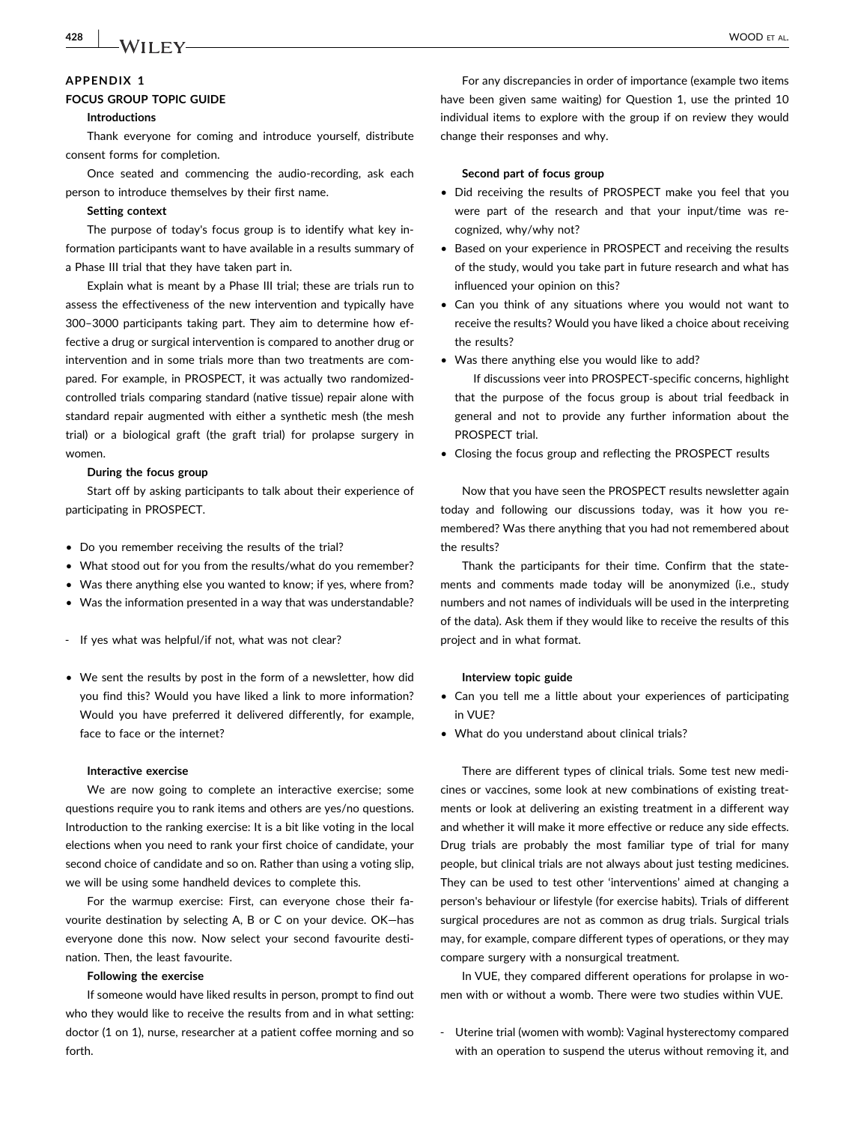# 428 | MA/LLEY WOOD ET AL.

## <span id="page-9-0"></span>APPENDIX 1

### FOCUS GROUP TOPIC GUIDE

#### Introductions

Thank everyone for coming and introduce yourself, distribute consent forms for completion.

Once seated and commencing the audio‐recording, ask each person to introduce themselves by their first name.

#### Setting context

The purpose of today's focus group is to identify what key information participants want to have available in a results summary of a Phase III trial that they have taken part in.

Explain what is meant by a Phase III trial; these are trials run to assess the effectiveness of the new intervention and typically have 300–3000 participants taking part. They aim to determine how effective a drug or surgical intervention is compared to another drug or intervention and in some trials more than two treatments are compared. For example, in PROSPECT, it was actually two randomized‐ controlled trials comparing standard (native tissue) repair alone with standard repair augmented with either a synthetic mesh (the mesh trial) or a biological graft (the graft trial) for prolapse surgery in women.

#### During the focus group

Start off by asking participants to talk about their experience of participating in PROSPECT.

- Do you remember receiving the results of the trial?
- What stood out for you from the results/what do you remember?
- Was there anything else you wanted to know; if yes, where from?
- Was the information presented in a way that was understandable?
- ‐ If yes what was helpful/if not, what was not clear?
- We sent the results by post in the form of a newsletter, how did you find this? Would you have liked a link to more information? Would you have preferred it delivered differently, for example, face to face or the internet?

#### Interactive exercise

We are now going to complete an interactive exercise; some questions require you to rank items and others are yes/no questions. Introduction to the ranking exercise: It is a bit like voting in the local elections when you need to rank your first choice of candidate, your second choice of candidate and so on. Rather than using a voting slip, we will be using some handheld devices to complete this.

For the warmup exercise: First, can everyone chose their favourite destination by selecting A, B or C on your device. OK—has everyone done this now. Now select your second favourite destination. Then, the least favourite.

#### Following the exercise

If someone would have liked results in person, prompt to find out who they would like to receive the results from and in what setting: doctor (1 on 1), nurse, researcher at a patient coffee morning and so forth.

For any discrepancies in order of importance (example two items have been given same waiting) for Question 1, use the printed 10 individual items to explore with the group if on review they would change their responses and why.

#### Second part of focus group

- Did receiving the results of PROSPECT make you feel that you were part of the research and that your input/time was recognized, why/why not?
- Based on your experience in PROSPECT and receiving the results of the study, would you take part in future research and what has influenced your opinion on this?
- Can you think of any situations where you would not want to receive the results? Would you have liked a choice about receiving the results?
- Was there anything else you would like to add?

If discussions veer into PROSPECT‐specific concerns, highlight that the purpose of the focus group is about trial feedback in general and not to provide any further information about the PROSPECT trial.

• Closing the focus group and reflecting the PROSPECT results

Now that you have seen the PROSPECT results newsletter again today and following our discussions today, was it how you remembered? Was there anything that you had not remembered about the results?

Thank the participants for their time. Confirm that the statements and comments made today will be anonymized (i.e., study numbers and not names of individuals will be used in the interpreting of the data). Ask them if they would like to receive the results of this project and in what format.

#### Interview topic guide

- Can you tell me a little about your experiences of participating in VUE?
- What do you understand about clinical trials?

There are different types of clinical trials. Some test new medicines or vaccines, some look at new combinations of existing treatments or look at delivering an existing treatment in a different way and whether it will make it more effective or reduce any side effects. Drug trials are probably the most familiar type of trial for many people, but clinical trials are not always about just testing medicines. They can be used to test other 'interventions' aimed at changing a person's behaviour or lifestyle (for exercise habits). Trials of different surgical procedures are not as common as drug trials. Surgical trials may, for example, compare different types of operations, or they may compare surgery with a nonsurgical treatment.

In VUE, they compared different operations for prolapse in women with or without a womb. There were two studies within VUE.

‐ Uterine trial (women with womb): Vaginal hysterectomy compared with an operation to suspend the uterus without removing it, and